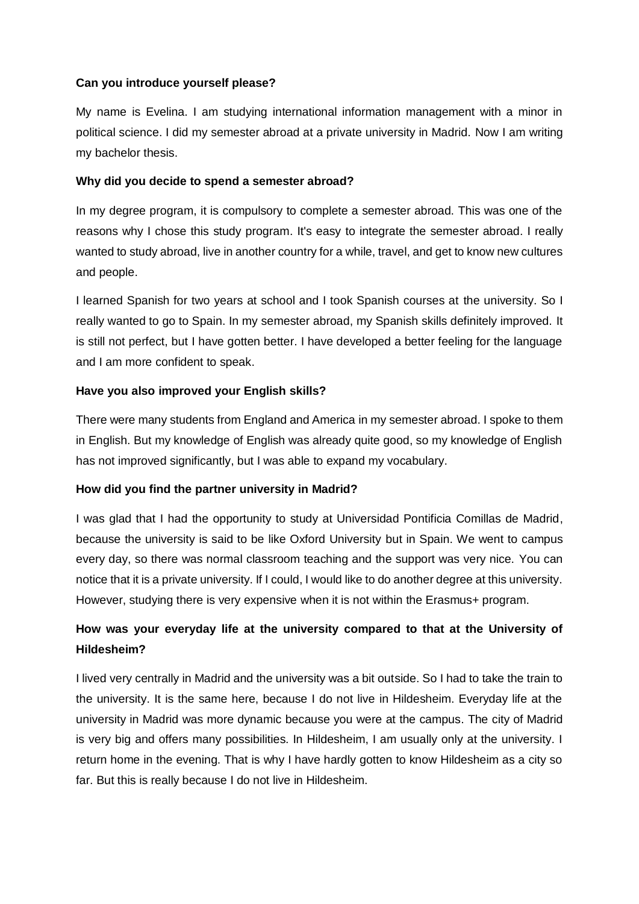### **Can you introduce yourself please?**

My name is Evelina. I am studying international information management with a minor in political science. I did my semester abroad at a private university in Madrid. Now I am writing my bachelor thesis.

### **Why did you decide to spend a semester abroad?**

In my degree program, it is compulsory to complete a semester abroad. This was one of the reasons why I chose this study program. It's easy to integrate the semester abroad. I really wanted to study abroad, live in another country for a while, travel, and get to know new cultures and people.

I learned Spanish for two years at school and I took Spanish courses at the university. So I really wanted to go to Spain. In my semester abroad, my Spanish skills definitely improved. It is still not perfect, but I have gotten better. I have developed a better feeling for the language and I am more confident to speak.

## **Have you also improved your English skills?**

There were many students from England and America in my semester abroad. I spoke to them in English. But my knowledge of English was already quite good, so my knowledge of English has not improved significantly, but I was able to expand my vocabulary.

## **How did you find the partner university in Madrid?**

I was glad that I had the opportunity to study at Universidad Pontificia Comillas de Madrid, because the university is said to be like Oxford University but in Spain. We went to campus every day, so there was normal classroom teaching and the support was very nice. You can notice that it is a private university. If I could, I would like to do another degree at this university. However, studying there is very expensive when it is not within the Erasmus+ program.

# **How was your everyday life at the university compared to that at the University of Hildesheim?**

I lived very centrally in Madrid and the university was a bit outside. So I had to take the train to the university. It is the same here, because I do not live in Hildesheim. Everyday life at the university in Madrid was more dynamic because you were at the campus. The city of Madrid is very big and offers many possibilities. In Hildesheim, I am usually only at the university. I return home in the evening. That is why I have hardly gotten to know Hildesheim as a city so far. But this is really because I do not live in Hildesheim.